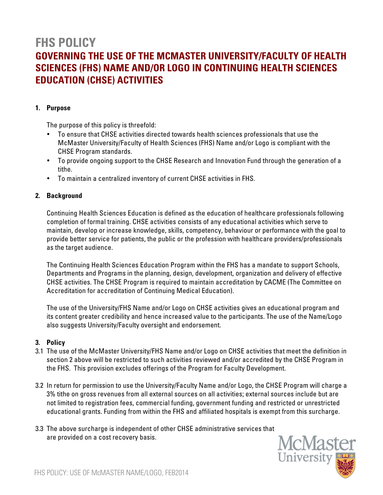# **FHS POLICY GOVERNING THE USE OF THE MCMASTER UNIVERSITY/FACULTY OF HEALTH SCIENCES (FHS) NAME AND/OR LOGO IN CONTINUING HEALTH SCIENCES EDUCATION (CHSE) ACTIVITIES**

### **1. Purpose**

The purpose of this policy is threefold:

- To ensure that CHSE activities directed towards health sciences professionals that use the McMaster University/Faculty of Health Sciences (FHS) Name and/or Logo is compliant with the CHSE Program standards.
- To provide ongoing support to the CHSE Research and Innovation Fund through the generation of a tithe.
- To maintain a centralized inventory of current CHSE activities in FHS.

## **2. Background**

Continuing Health Sciences Education is defined as the education of healthcare professionals following completion of formal training. CHSE activities consists of any educational activities which serve to maintain, develop or increase knowledge, skills, competency, behaviour or performance with the goal to provide better service for patients, the public or the profession with healthcare providers/professionals as the target audience.

The Continuing Health Sciences Education Program within the FHS has a mandate to support Schools, Departments and Programs in the planning, design, development, organization and delivery of effective CHSE activities. The CHSE Program is required to maintain accreditation by CACME (The Committee on Accreditation for accreditation of Continuing Medical Education).

The use of the University/FHS Name and/or Logo on CHSE activities gives an educational program and its content greater credibility and hence increased value to the participants. The use of the Name/Logo also suggests University/Faculty oversight and endorsement.

#### **3. Policy**

- 3.1 The use of the McMaster University/FHS Name and/or Logo on CHSE activities that meet the definition in section 2 above will be restricted to such activities reviewed and/or accredited by the CHSE Program in the FHS. This provision excludes offerings of the Program for Faculty Development.
- 3.2 In return for permission to use the University/Faculty Name and/or Logo, the CHSE Program will charge a 3% tithe on gross revenues from all external sources on all activities; external sources include but are not limited to registration fees, commercial funding, government funding and restricted or unrestricted educational grants. Funding from within the FHS and affiliated hospitals is exempt from this surcharge.
- 3.3 The above surcharge is independent of other CHSE administrative services that are provided on a cost recovery basis.